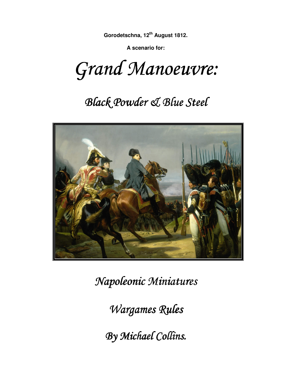**A scenario for:** 

Grand Manoeuvre:

# **Black Powder & Blue Steel**



 $Napoleonic$  *Miniatures* 

*Wargames Rules* 

*By Michael Collins. Collins.*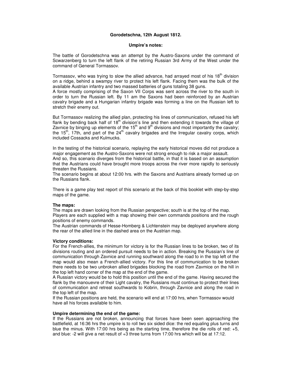#### **Umpire's notes:**

The battle of Gorodetschna was an attempt by the Austro-Saxons under the command of Scwarzenberg to turn the left flank of the retiring Russian 3rd Army of the West under the command of General Tormassov.

Tormassov, who was trying to slow the allied advance, had arrayed most of his 18<sup>th</sup> division on a ridge, behind a swampy river to protect his left flank. Facing them was the bulk of the available Austrian infantry and two massed batteries of guns totaling 38 guns.

A force mostly comprising of the Saxon VII Corps was sent across the river to the south in order to turn the Russian left. By 11 am the Saxons had been reinforced by an Austrian cavalry brigade and a Hungarian infantry brigade was forming a line on the Russian left to stretch their enemy out.

But Tormassov realizing the allied plan, protecting his lines of communication, refused his left flank by bending back half of  $18<sup>th</sup>$  division's line and then extending it towards the village of Zavnice by binging up elements of the  $15<sup>th</sup>$  and  $9<sup>th</sup>$  divisions and most importantly the cavalry; the  $15<sup>th</sup>$ , 17th, and part of the  $24<sup>th</sup>$  cavalry brigades and the Irregular cavalry corps, which included Cossacks and Kulmucks.

In the testing of the historical scenario, replaying the early historical moves did not produce a major engagement as the Austro-Saxons were not strong enough to risk a major assault.

And so, this scenario diverges from the historical battle, in that it is based on an assumption that the Austrians could have brought more troops across the river more rapidly to seriously threaten the Russians.

The scenario begins at about 12:00 hrs. with the Saxons and Austrians already formed up on the Russians flank.

There is a game play test report of this scenario at the back of this booklet with step-by-step maps of the game.

#### **The maps:**

The maps are drawn looking from the Russian perspective; south is at the top of the map. Players are each supplied with a map showing their own commands positions and the rough positions of enemy commands.

The Austrian commands of Hesse-Homberg & Lichtenstein may be deployed anywhere along the rear of the allied line in the dashed area on the Austrian map.

#### **Victory conditions:**

For the French-allies, the minimum for victory is for the Russian lines to be broken, two of its divisions routing and an ordered pursuit needs to be in action. Breaking the Russian's line of communication through Zavnice and running southward along the road to in the top left of the map would also mean a French-allied victory. For this line of communication to be broken there needs to be two unbroken allied brigades blocking the road from Zavmice on the hill in the top left hand corner of the map at the end of the game.

A Russian victory would be to hold this position until the end of the game. Having secured the flank by the manouevre of their Light cavalry, the Russians must continue to protect their lines of communication and retreat southwards to Kobrin, through Zavnice and along the road in the top left of the map.

If the Russian positions are held, the scenario will end at 17:00 hrs, when Tormassov would have all his forces available to him.

#### **Umpire determining the end of the game:**

If the Russians are not broken, announcing that forces have been seen approaching the battlefield, at 16:36 hrs the umpire is to roll two six sided dice: the red equaling plus turns and blue the minus. With 17:00 hrs being as the starting time, therefore the die rolls of red: +5, and blue: -2 will give a net result of +3 three turns from 17:00 hrs which will be at 17:12.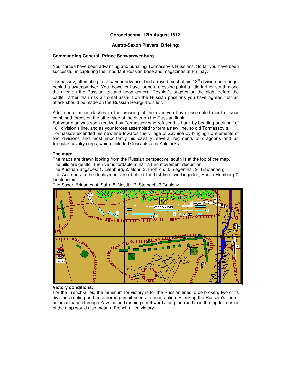#### **Austro-Saxon Players` Briefing:**

#### **Commanding General: Prince Schwarzwenburg.**

Your forces have been advancing and pursuing Tormassov`s Russians. So far you have been successful in capturing the important Russian base and magazines at Prujnay.

Tormassov, attempting to slow your advance, had arrayed most of his  $18<sup>th</sup>$  division on a ridge, behind a swampy river. You, however have found a crossing point a little further south along the river on the Russian left and upon general Reynier`s suggestion the night before the battle, rather than risk a frontal assault on the Russian positions you have agreed that an attack should be made on the Russian Rearguard's left.

After some minor clashes in the crossing of the river you have assembled most of your combined forces on the other side of the river on the Russian flank.

But your plan was soon realized by Tormassov who refused his flank by bending back half of  $18<sup>th</sup>$  division's line, and as your forces assembled to form a new line, so did Tormassov's.

Tormassov extended his new line towards the village of Zavnice by binging up elements of two divisions and most importantly his cavalry; several regiments of dragoons and an Irregular cavalry corps, which included Cossacks and Kulmucks.

#### **The map:**

The maps are drawn looking from the Russian perspective; south is at the top of the map. The hills are gentle. The river is fordable at half a turn movement deduction.

The Austrian Brigades: 1. Lilenburg, 2. Mohr, 3. Frohlich. 8. Siegenthal, 9. Trautenberg.

The Austrians in the deployment area behind the first line: two brigades; Hesse-Homberg & Lichtenstein.



The Saxon Brigades: 4. Sahr, 5. Nostitz, 6. Steindel, 7 Gablenz.

#### **Victory conditions:**

For the French-allies, the minimum for victory is for the Russian lines to be broken, two of its divisions routing and an ordered pursuit needs to be in action. Breaking the Russian's line of communication through Zavnice and running southward along the road to in the top left corner of the map would also mean a French-allied victory.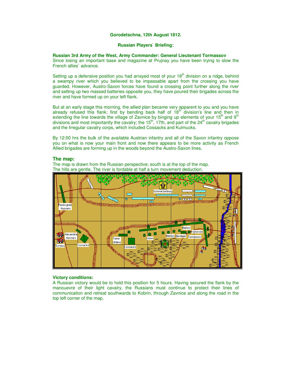#### **Russian Players` Briefing:**

#### **Russian 3rd Army of the West, Army Commander: General Lieutenant Tormassov**

Since losing an important base and magazine at Prujnay you have been trying to slow the French allies` advance.

Setting up a defensive position you had arrayed most of your  $18<sup>th</sup>$  division on a ridge, behind a swampy river which you believed to be impassable apart from the crossing you have guarded. However, Austro-Saxon forces have found a crossing point further along the river and setting up two massed batteries opposite you, they have poured their brigades across the river and have formed up on your left flank.

But at an early stage this morning, the allied plan became very apparent to you and you have already refused this flank; first by bending back half of  $18<sup>th</sup>$  division's line and then in extending the line towards the village of Zavnice by binging up elements of your  $15<sup>th</sup>$  and  $9<sup>th</sup>$ divisions and most importantly the cavalry; the  $15<sup>th</sup>$ , 17th, and part of the  $24<sup>th</sup>$  cavalry brigades and the Irregular cavalry corps, which included Cossacks and Kulmucks.

By 12:00 hrs the bulk of the available Austrian infantry and all of the Saxon infantry oppose you on what is now your main front and now there appears to be more activity as French Allied brigades are forming up in the woods beyond the Austro-Saxon lines.

#### **The map:**

The map is drawn from the Russian perspective; south is at the top of the map. The hills are gentle. The river is fordable at half a turn movement deduction.



#### **Victory conditions:**

A Russian victory would be to hold this position for 5 hours. Having secured the flank by the manouevre of their light cavalry, the Russians must continue to protect their lines of communication and retreat southwards to Kobrin, through Zavnice and along the road in the top left corner of the map.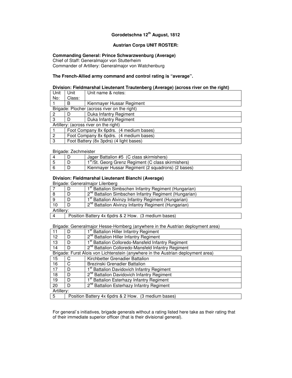#### **Austrian Corps UNIT ROSTER:**

# **Commanding General: Prince Schwarzwenburg (Average)**

Chief of Staff: Generalmajor von Stutterheim

Commander of Artillery: Generalmajor von Watchenburg

# **The French-Allied army command and control rating is "average".**

#### **Division: Fieldmarshal Lieutenant Trautenberg (Average) (across river on the right)**

| Unit | Unit                                    | Unit name & notes:                           |  |
|------|-----------------------------------------|----------------------------------------------|--|
| No:  | Class:                                  |                                              |  |
|      | В                                       | Kienmayer Hussar Regiment                    |  |
|      |                                         | Brigade: Plocher (across river on the right) |  |
| 2    |                                         | Duka Infantry Regiment                       |  |
| 3    |                                         | Duka Infantry Regiment                       |  |
|      | Artillery: (across river on the right)  |                                              |  |
|      |                                         | Foot Company 8x 6pdrs. (4 medium bases)      |  |
| 2    |                                         | Foot Company 8x 6pdrs. (4 medium bases)      |  |
| 3    | Foot Battery (8x 3pdrs) (4 light bases) |                                              |  |

#### Brigade: Zechmeister

|  | Jager Battalion #5 (C class skirmishers)                        |  |
|--|-----------------------------------------------------------------|--|
|  | 1 <sup>st</sup> /St. Georg Grenz Regiment (C class skirmishers) |  |
|  | Kienmayer Hussar Regiment (2 squadrons) (2 bases)               |  |

## **Division: Fieldmarshal Lieutenant Bianchi (Average)**

Brigade: Generalmajor Lilenberg

|    |                                                     | I <sup>st</sup> Battalion Simbschen Infantry Regiment (Hungarian) |  |
|----|-----------------------------------------------------|-------------------------------------------------------------------|--|
|    | D                                                   | 2 <sup>nd</sup> Battalion Simbschen Infantry Regiment (Hungarian) |  |
|    | D                                                   | 1 <sup>st</sup> Battalion Alvinzy Infantry Regiment (Hungarian)   |  |
| 10 | D                                                   | 2 <sup>nd</sup> Battalion Alvinzy Infantry Regiment (Hungarian)   |  |
|    | Artillery:                                          |                                                                   |  |
|    | Position Battery 4x 6pdrs & 2 How. (3 medium bases) |                                                                   |  |

Brigade: Generalmajor Hesse-Homberg (anywhere in the Austrian deployment area)

|            | D                                                   | 1 <sup>st</sup> Battalion Hiller Infantry Regiment                               |  |
|------------|-----------------------------------------------------|----------------------------------------------------------------------------------|--|
| 12         | D                                                   | 2 <sup>nd</sup> Battalion Hiller Infantry Regiment                               |  |
| 13         | D                                                   | 1 <sup>st</sup> Battalion Colloredo-Mansfeld Infantry Regiment                   |  |
| 14         | D                                                   | 2 <sup>nd</sup> Battalion Colloredo-Mansfeld Infantry Regiment                   |  |
|            |                                                     | Brigade: Furst Alois von Lichtenstein (anywhere in the Austrian deployment area) |  |
| 15         | С                                                   | Kirchbetter Grenadier Battalion                                                  |  |
| 16         | C                                                   | Brezinski Grenadier Battalion                                                    |  |
| 17         | D                                                   | 1 <sup>st</sup> Battalion Davidovich Infantry Regiment                           |  |
| 18         | D                                                   | 2 <sup>nd</sup> Battalion Davidovich Infantry Regiment                           |  |
| 19         | D                                                   | 1 <sup>st</sup> Battalion Esterhazy Infantry Regiment                            |  |
| 20         | D                                                   | 2 <sup>nd</sup> Battalion Esterhazy Infantry Regiment                            |  |
| Artillery: |                                                     |                                                                                  |  |
| 5          | Position Battery 4x 6pdrs & 2 How. (3 medium bases) |                                                                                  |  |

For general`s initiatives, brigade generals without a rating listed here take as their rating that of their immediate superior officer (that is their divisional general).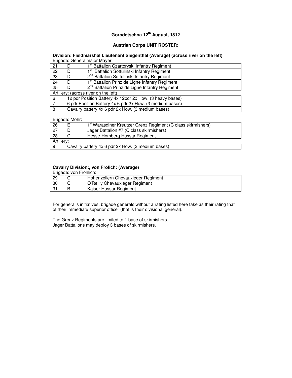# **Austrian Corps UNIT ROSTER:**

#### **Division: Fieldmarshal Lieutenant Siegenthal (Average) (across river on the left)**  Brigade: Generalmajor Mayer

|                                       | <b>Drigado:</b> Ochoralmajor mayor                |                                                            |  |
|---------------------------------------|---------------------------------------------------|------------------------------------------------------------|--|
| 21                                    | D                                                 | 1 <sup>st</sup> Battalion Czartoryski Infantry Regiment    |  |
| 22                                    | D                                                 | Ist Battalion Sottulinski Infantry Regiment                |  |
| 23                                    | D                                                 | 2 <sup>nd</sup> Battalion Sottulinski Infantry Regiment    |  |
| 24                                    | D                                                 | 1 <sup>st</sup> Battalion Prinz de Ligne Infantry Regiment |  |
| 25                                    | D                                                 | 2 <sup>nd</sup> Battalion Prinz de Ligne Infantry Regiment |  |
| Artillery: (across river on the left) |                                                   |                                                            |  |
| 6                                     |                                                   | 12 pdr Position Battery 4x 12pdr 2x How. (3 heavy bases)   |  |
|                                       |                                                   | 6 pdr Position Battery 4x 6 pdr 2x How. (3 medium bases)   |  |
| 8                                     | Cavalry battery 4x 6 pdr 2x How. (3 medium bases) |                                                            |  |

Brigade: Mohr:

| $\sqrt{26}$ |                                                   | 1 <sup>st</sup> Warasdiner Kreutzer Grenz Regiment (C class skirmishers) |
|-------------|---------------------------------------------------|--------------------------------------------------------------------------|
| 27          |                                                   | Jager Battalion #7 (C class skirmishers)                                 |
| 28          |                                                   | Hesse-Homberg Hussar Regiment                                            |
| Artillerv:  |                                                   |                                                                          |
|             | Cavalry battery 4x 6 pdr 2x How. (3 medium bases) |                                                                          |

# **Cavalry Division:, von Frolich: (Average)**

|    | Brigade: von Frohlich: |                                    |
|----|------------------------|------------------------------------|
| 29 |                        | Hohenzollern Chevauxleger Regiment |
| 30 |                        | O'Reilly Chevauxleger Regiment     |
| 31 |                        | Kaiser Hussar Regiment             |

For general's initiatives, brigade generals without a rating listed here take as their rating that of their immediate superior officer (that is their divisional general).

The Grenz Regiments are limited to 1 base of skirmishers. Jager Battalions may deploy 3 bases of skirmishers.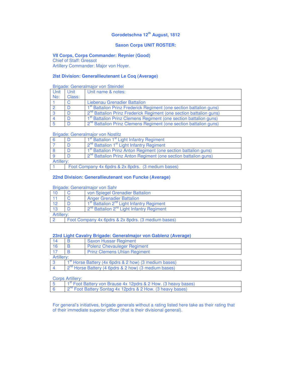#### **Saxon Corps UNIT ROSTER:**

# **VII Corps, Corps Commander: Reynier (Good)**

Chief of Staff: Gressot

Artillery Commander: Major von Hoyer.

# **2lst Division: Generallieutenant Le Coq (Average)**

## Brigade: Generalmajor von Steindel

| Unit | Unit   | Unit name & notes:                                                              |
|------|--------|---------------------------------------------------------------------------------|
| No:  | Class: |                                                                                 |
|      |        | Liebenau Grenadier Battalion                                                    |
|      | D      | 1 <sup>st</sup> Battalion Prinz Frederick Regiment (one section battalion guns) |
|      |        | 2 <sup>nd</sup> Battalion Prinz Frederick Regiment (one section battalion guns) |
|      |        | 1 <sup>st</sup> Battalion Prinz Clemens Regiment (one section battalion guns)   |
|      |        | 2 <sup>nd</sup> Battalion Prinz Clemens Regiment (one section battalion guns)   |

#### Brigade: Generalmajor von Nostitz

|                                                    | 1 <sup>st</sup> Battalion 1 <sup>st</sup> Light Infantry Regiment           |  |
|----------------------------------------------------|-----------------------------------------------------------------------------|--|
|                                                    | 2 <sup>nd</sup> Battalion 1 <sup>st</sup> Light Infantry Regiment           |  |
|                                                    | 1 <sup>st</sup> Battalion Prinz Anton Regiment (one section battalion guns) |  |
|                                                    | 2 <sup>nd</sup> Battalion Prinz Anton Regiment (one section battalion guns) |  |
| Artillerv:                                         |                                                                             |  |
| Foot Company 4x 6pdrs & 2x 8pdrs. (3 medium bases) |                                                                             |  |

#### **22nd Division: Generallieutenant von Funcke (Average)**

#### Brigade: Generalmajor von Sahr

|    | <u>PHYMOL MOHOLMHIMOL VOILOUIN</u>                 |                                                                   |  |
|----|----------------------------------------------------|-------------------------------------------------------------------|--|
| 10 |                                                    | von Spiegel Grenadier Battalion                                   |  |
|    |                                                    | <b>Anger Grenadier Battalion</b>                                  |  |
| 12 |                                                    | 1 <sup>st</sup> Battalion 2 <sup>nd</sup> Light Infantry Regiment |  |
| 13 |                                                    | 2 <sup>nd</sup> Battalion 2 <sup>nd</sup> Light Infantry Regiment |  |
|    | Artillery:                                         |                                                                   |  |
|    | Foot Company 4x 6pdrs & 2x 8pdrs. (3 medium bases) |                                                                   |  |

#### **23rd Light Cavalry Brigade: Generalmajor von Gablenz (Average)**

| -14 |            | <b>Saxon Hussar Regiment</b>                                      |  |  |
|-----|------------|-------------------------------------------------------------------|--|--|
| 16  |            | <b>Polenz Chevauleger Regiment</b>                                |  |  |
|     |            | <b>Prinz Clemens Uhlan Regiment</b>                               |  |  |
|     | Artillery: |                                                                   |  |  |
|     |            | 1 <sup>st</sup> Horse Battery (4x 6pdrs & 2 how) (3 medium bases) |  |  |
|     |            | 2 <sup>nd</sup> Horse Battery (4 6pdrs & 2 how) (3 medium bases)  |  |  |

#### Corps Artillery:

| $1st$ Foot Battery von Brause 4x 12pdrs & 2 How. (3 heavy bases)       |
|------------------------------------------------------------------------|
| 2 <sup>nd</sup> Foot Battery Sontag 4x 12pdrs & 2 How. (3 heavy bases) |

For general's initiatives, brigade generals without a rating listed here take as their rating that of their immediate superior officer (that is their divisional general).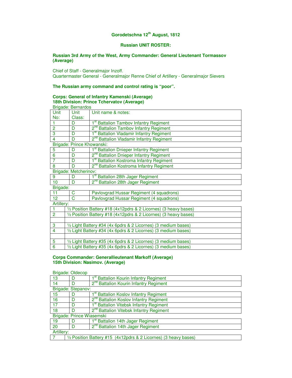## **Russian UNIT ROSTER:**

#### **Russian 3rd Army of the West, Army Commander: General Lieutenant Tormassov (Average)**

Chief of Staff - Generalmajor Inzoff. Quartermaster General - Generalmajor Renne Chief of Artillery - Generalmajor Sievers

# **The Russian army command and control rating is "poor".**

#### **Corps: General of Infantry Kamenski (Average) 18th Division: Prince Tchervatov (Average)**  Brigade: Bernardos

| <b>Drigage. Derrial dos</b> |                                                                  |                                                     |  |  |
|-----------------------------|------------------------------------------------------------------|-----------------------------------------------------|--|--|
| Unit                        | Unit                                                             | Unit name & notes:                                  |  |  |
| No:                         | Class:                                                           |                                                     |  |  |
|                             | D                                                                | 1 <sup>st</sup> Battalion Tambov Infantry Regiment  |  |  |
| $\overline{2}$              | 2 <sup>nd</sup> Battalion Tambov Infantry Regiment<br>D          |                                                     |  |  |
| 3                           | 1 <sup>st</sup> Battalion Vladamir Infantry Regiment<br>D        |                                                     |  |  |
| 4                           | 2 <sup>nd</sup> Battalion Vladamir Infantry Regiment<br>D        |                                                     |  |  |
| Brigade: Prince Khowanski:  |                                                                  |                                                     |  |  |
| 5                           | D                                                                | 1 <sup>st</sup> Battalion Dnieper Infantry Regiment |  |  |
| $\overline{6}$              | 2 <sup>nd</sup> Battalion Dnieper Infantry Regiment<br>D         |                                                     |  |  |
| 7                           | 1 <sup>st</sup> Battalion Kostroma Infantry Regiment<br>D        |                                                     |  |  |
| 8                           | 2 <sup>nd</sup> Battalion Kostroma Infantry Regiment<br>D        |                                                     |  |  |
| Brigade: Metcherinov:       |                                                                  |                                                     |  |  |
| $\overline{9}$              | 1 <sup>st</sup> Battalion 28th Jager Regiment<br>D               |                                                     |  |  |
| 10                          | 2 <sup>nd</sup> Battalion 28th Jager Regiment<br>D               |                                                     |  |  |
| Brigade:                    |                                                                  |                                                     |  |  |
| 11                          | C                                                                | Pavlovgrad Hussar Regiment (4 squadrons)            |  |  |
| 12                          | C<br>Pavlovgrad Hussar Regiment (4 squadrons)                    |                                                     |  |  |
| Artillery:                  |                                                                  |                                                     |  |  |
| $\overline{1}$              | 1/2 Position Battery #18 (4x12pdrs & 2 Licornes) (3 heavy bases) |                                                     |  |  |
| $\overline{2}$              | 1/2 Position Battery #18 (4x12pdrs & 2 Licornes) (3 heavy bases) |                                                     |  |  |
|                             |                                                                  |                                                     |  |  |
| 3                           | 1/2 Light Battery #34 (4x 6pdrs & 2 Licornes) (3 medium bases)   |                                                     |  |  |
| 4                           | 1/2 Light Battery #34 (4x 6pdrs & 2 Licornes) (3 medium bases)   |                                                     |  |  |
|                             |                                                                  |                                                     |  |  |
| 5                           | 1/2 Light Battery #35 (4x 6pdrs & 2 Licornes) (3 medium bases)   |                                                     |  |  |
| $\overline{6}$              | 1/2 Light Battery #35 (4x 6pdrs & 2 Licornes) (3 medium bases)   |                                                     |  |  |

#### **Corps Commander: Generallieutenant Markoff (Average) 15th Division: Nasimov. (Average)**

#### Brigade: Oldecop

| <b>DINAUG.</b> ONOUD      |                                                                  |                                                     |  |
|---------------------------|------------------------------------------------------------------|-----------------------------------------------------|--|
| 13                        |                                                                  | 1 <sup>st</sup> Battalion Kourin Infantry Regiment  |  |
| 14                        | D                                                                | 2 <sup>nd</sup> Battalion Kourin Infantry Regiment  |  |
| Brigade: Stepanov:        |                                                                  |                                                     |  |
| 15                        |                                                                  | 1 <sup>st</sup> Battalion Koslov Infantry Regiment  |  |
| 16                        | D                                                                | 2 <sup>nd</sup> Battalion Koslov Infantry Regiment  |  |
| 17                        | D                                                                | 1 <sup>st</sup> Battalion Vitebsk Infantry Regiment |  |
| 18                        | D                                                                | 2 <sup>nd</sup> Battalion Vitebsk Infantry Regiment |  |
| Brigade: Prince Wiasemski |                                                                  |                                                     |  |
| 19                        | D                                                                | <b>Battalion 14th Jager Regiment</b>                |  |
| 20                        | D                                                                | 2 <sup>nd</sup> Battalion 14th Jager Regiment       |  |
| Artillery:                |                                                                  |                                                     |  |
|                           | 1/2 Position Battery #15 (4x12pdrs & 2 Licornes) (3 heavy bases) |                                                     |  |
|                           |                                                                  |                                                     |  |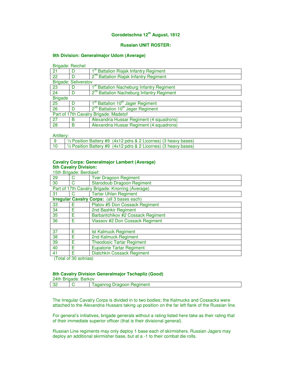## **Russian UNIT ROSTER:**

#### **9th Division: Generalmajor Udom (Average)**

Brigade: Reichel

| ັ                                     |   |                                                           |  |
|---------------------------------------|---|-----------------------------------------------------------|--|
| 21                                    | D | 1 <sup>st</sup> Battalion Riajsk Infantry Regiment        |  |
| 22                                    | D | 2 <sup>nd</sup> Battalion Riajsk Infantry Regiment        |  |
| <b>Brigade: Seliverstov</b>           |   |                                                           |  |
| 23                                    | D | <b>Battalion Nacheburg Infantry Regiment</b>              |  |
| 24                                    | D | 2 <sup>nd</sup> Battalion Nacheburg Infantry Regiment     |  |
| <b>Brigade</b>                        |   |                                                           |  |
| 25                                    | D | 1 <sup>st</sup> Battalion 10 <sup>th</sup> Jager Regiment |  |
| 26                                    | D | 2 <sup>nd</sup> Battalion 10 <sup>th</sup> Jager Regiment |  |
| Part of 17th Cavalry Brigade: Madetof |   |                                                           |  |
| 27                                    | в | Alexandria Hussar Regiment (4 squadrons)                  |  |
| 28                                    | в | Alexandria Hussar Regiment (4 squadrons)                  |  |

Artillery:

|                 | $\frac{1}{2}$ Position Battery #9 (4x12 pdrs & 2 Licornes) (3 heavy bases) |
|-----------------|----------------------------------------------------------------------------|
| $\overline{10}$ | $\frac{1}{2}$ Position Battery #9 (4x12 pdrs & 2 Licornes) (3 heavy bases) |

#### **Cavalry Corps: Generalmajor Lambert (Average) 5th Cavalry Division:**

| 15th Brigade: Berdiaief:                           |                                                  |                                   |  |  |
|----------------------------------------------------|--------------------------------------------------|-----------------------------------|--|--|
| 29                                                 |                                                  | <b>Tver Dragoon Regiment</b>      |  |  |
| 30                                                 | C                                                | <b>Starodoub Dragoon Regiment</b> |  |  |
|                                                    | Part of 17th Cavalry Brigade: Knorring (Average) |                                   |  |  |
| 31                                                 |                                                  | <b>Tartar Uhlan Regiment</b>      |  |  |
| <b>Irregular Cavalry Corps:</b> (all 3 bases each) |                                                  |                                   |  |  |
| 33                                                 | F                                                | Platov #5 Don Cossack Regiment    |  |  |
| 34                                                 | F                                                | 2nd Bashkir Regiment              |  |  |
| 35                                                 | F                                                | Barbantchikov #2 Cossack Regiment |  |  |
| 36                                                 | F                                                | Vlassov #2 Don Cossack Regiment   |  |  |
|                                                    |                                                  |                                   |  |  |
| 37                                                 | F                                                | <b>Ist Kalmuck Regiment</b>       |  |  |
| 38                                                 | F                                                | 2nd Kalmuck Regiment              |  |  |
| 39                                                 | F                                                | <b>Theodosic Tartar Regiment</b>  |  |  |
| 40                                                 | F                                                | <b>Eupatorie Tartar Regiment</b>  |  |  |
| 41                                                 | F                                                | Diatchkin Cossack Regiment        |  |  |

(Total of 30 sotnias)

## **8th Cavalry Division Generalmajor Tschapliz (Good)**

| 24th Brigade: Barkov |  |                           |  |
|----------------------|--|---------------------------|--|
| - מ                  |  | Laganrog Dragoon Regiment |  |

The Irregular Cavalry Corps is divided in to two bodies; the Kalmucks and Cossacks were attached to the Alexandria Hussars taking up position on the far left flank of the Russian line.

For general's initiatives, brigade generals without a rating listed here take as their rating that of their immediate superior officer (that is their divisional general).

Russian Line regiments may only deploy 1 base each of skirmishers. Russian Jagers may deploy an additional skirmisher base, but at a -1 to their combat die rolls.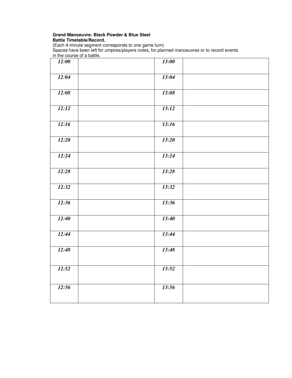# **Grand Manoeuvre: Black Powder & Blue Steel Battle Timetable/Record.**

(Each 4-minute segment corresponds to one game turn) Spaces have been left for umpires/players notes, for planned manoeuvres or to record events in the course of a battle.

| 12:00 | <b>13:00</b> |
|-------|--------------|
| 12:04 | 13:04        |
| 12:08 | 13:08        |
| 12:12 | 13:12        |
| 12:16 | 13:16        |
| 12:20 | 13:20        |
| 12:24 | 13:24        |
| 12:28 | 13:28        |
| 12:32 | 13:32        |
| 12:36 | 13:36        |
| 12:40 | 13:40        |
| 12:44 | 13:44        |
| 12:48 | 13:48        |
| 12:52 | 13:52        |
| 12:56 | 13:56        |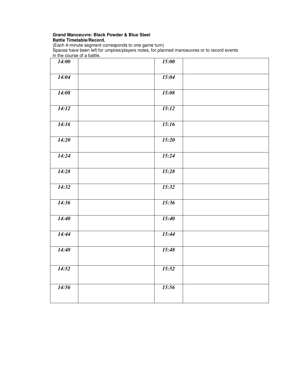# **Grand Manoeuvre: Black Powder & Blue Steel Battle Timetable/Record.**

(Each 4-minute segment corresponds to one game turn) Spaces have been left for umpires/players notes, for planned manoeuvres or to record events in the course of a battle.

| <b>14:00</b> | 15:00 |  |
|--------------|-------|--|
| 14:04        | 15:04 |  |
| 14:08        | 15:08 |  |
| 14:12        | 15:12 |  |
| 14:16        | 15:16 |  |
| 14:20        | 15:20 |  |
| 14:24        | 15:24 |  |
| 14:28        | 15:28 |  |
| 14:32        | 15:32 |  |
| 14:36        | 15:36 |  |
| 14:40        | 15:40 |  |
| 14:44        | 15:44 |  |
| 14:48        | 15:48 |  |
| 14:52        | 15:52 |  |
| 14:56        | 15:56 |  |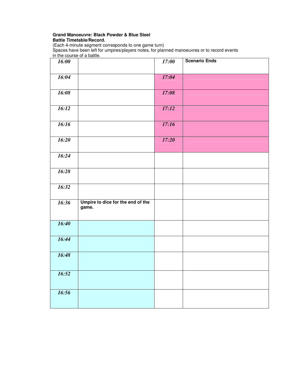# **Grand Manoeuvre: Black Powder & Blue Steel Battle Timetable/Record.**

(Each 4-minute segment corresponds to one game turn) Spaces have been left for umpires/players notes, for planned manoeuvres or to record events in the course of a battle.

| 16:00              |                                            | 17:00 | <b>Scenario Ends</b> |
|--------------------|--------------------------------------------|-------|----------------------|
| 16:04              |                                            | 17:04 |                      |
| 16:08              |                                            | 17:08 |                      |
| 16:12              |                                            | 17:12 |                      |
| 16:16              |                                            | 17:16 |                      |
| $\overline{16:20}$ |                                            | 17:20 |                      |
| 16:24              |                                            |       |                      |
| 16:28              |                                            |       |                      |
| 16:32              |                                            |       |                      |
| 16:36              | Umpire to dice for the end of the<br>game. |       |                      |
| 16:40              |                                            |       |                      |
| 16:44              |                                            |       |                      |
| 16:48              |                                            |       |                      |
| 16:52              |                                            |       |                      |
| 16:56              |                                            |       |                      |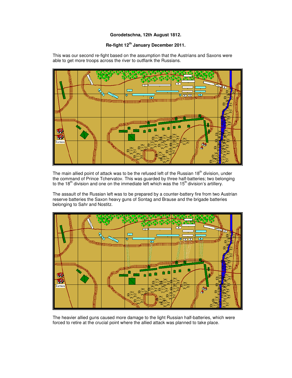# **Re-fight 12th January December 2011.**

This was our second re-fight based on the assumption that the Austrians and Saxons were able to get more troops across the river to outflank the Russians.



The main allied point of attack was to be the refused left of the Russian  $18<sup>th</sup>$  division, under the command of Prince Tchervatov. This was guarded by three half-batteries; two belonging to the 18<sup>th</sup> division and one on the immediate left which was the 15<sup>th</sup> division's artillery.

The assault of the Russian left was to be prepared by a counter-battery fire from two Austrian reserve batteries the Saxon heavy guns of Sontag and Brause and the brigade batteries belonging to Sahr and Nostitz.



The heavier allied guns caused more damage to the light Russian half-batteries, which were forced to retire at the crucial point where the allied attack was planned to take place.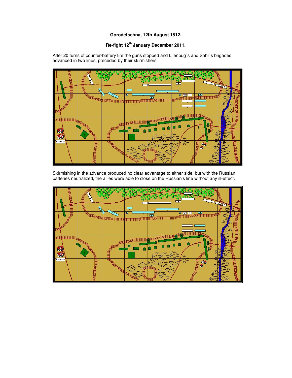# **Re-fight 12th January December 2011.**

After 20 turns of counter-battery fire the guns stopped and Lilenbug`s and Sahr`s brigades advanced in two lines, preceded by their skirmishers.



Skirmishing in the advance produced no clear advantage to either side, but with the Russian batteries neutralized, the allies were able to close on the Russian's line without any ill-effect.

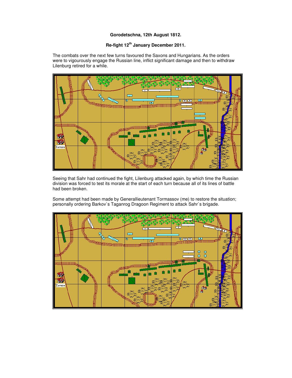# **Re-fight 12th January December 2011.**

The combats over the next few turns favoured the Saxons and Hungarians. As the orders were to vigourously engage the Russian line, inflict significant damage and then to withdraw Lilenburg retired for a while.



Seeing that Sahr had continued the fight, Lilenburg attacked again, by which time the Russian division was forced to test its morale at the start of each turn because all of its lines of battle had been broken.

Some attempt had been made by Generallieutenant Tormassov (me) to restore the situation; personally ordering Barkov`s Taganrog Dragoon Regiment to attack Sahr`s brigade.

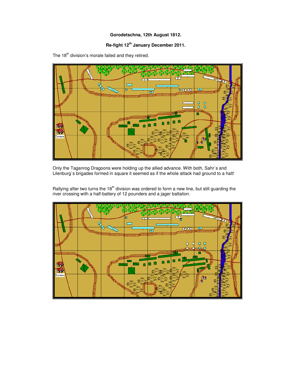# **Re-fight 12th January December 2011.**



The 18<sup>th</sup> division's morale failed and they retired.

Only the Taganrog Dragoons were holding up the allied advance. With both, Sahr`s and Lilenburg`s brigades formed in square it seemed as if the whole attack had ground to a halt!

Rallying after two turns the 18<sup>th</sup> division was ordered to form a new line, but still guarding the river crossing with a half-battery of 12 pounders and a jager battalion.

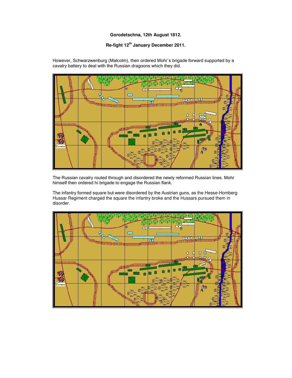# **Re-fight 12th January December 2011.**

However, Schwarzwenburg (Malcolm), then ordered Mohr`s brigade forward supported by a cavalry battery to deal with the Russian dragoons which they did.



The Russian cavalry routed through and disordered the newly reformed Russian lines. Mohr himself then ordered hi brigade to engage the Russian flank.

The infantry formed square but were disordered by the Austrian guns, as the Hesse-Homberg Hussar Regiment charged the square the infantry broke and the Hussars pursued them in disorder.

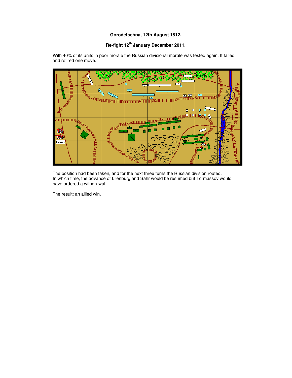# **Re-fight 12th January December 2011.**

With 40% of its units in poor morale the Russian divisional morale was tested again. It failed and retired one move.



The position had been taken, and for the next three turns the Russian division routed. In which time, the advance of Lilenburg and Sahr would be resumed but Tormassov would have ordered a withdrawal.

The result: an allied win.